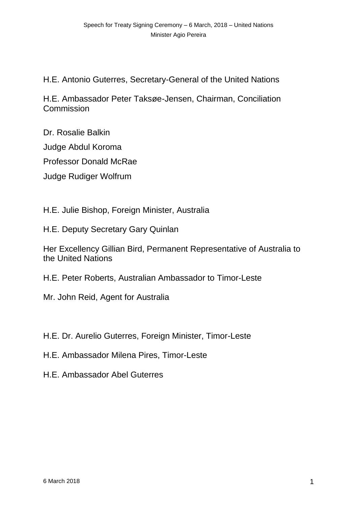H.E. Antonio Guterres, Secretary-General of the United Nations

H.E. Ambassador Peter Taksøe-Jensen, Chairman, Conciliation **Commission** 

Dr. Rosalie Balkin Judge Abdul Koroma Professor Donald McRae Judge Rudiger Wolfrum

H.E. Julie Bishop, Foreign Minister, Australia

H.E. Deputy Secretary Gary Quinlan

Her Excellency Gillian Bird, Permanent Representative of Australia to the United Nations

H.E. Peter Roberts, Australian Ambassador to Timor-Leste

Mr. John Reid, Agent for Australia

H.E. Dr. Aurelio Guterres, Foreign Minister, Timor-Leste

H.E. Ambassador Milena Pires, Timor-Leste

H.E. Ambassador Abel Guterres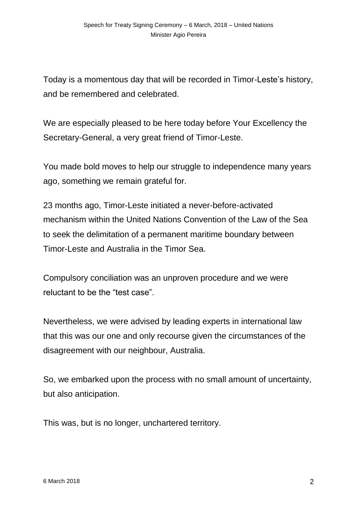Today is a momentous day that will be recorded in Timor-Leste's history, and be remembered and celebrated.

We are especially pleased to be here today before Your Excellency the Secretary-General, a very great friend of Timor-Leste.

You made bold moves to help our struggle to independence many years ago, something we remain grateful for.

23 months ago, Timor-Leste initiated a never-before-activated mechanism within the United Nations Convention of the Law of the Sea to seek the delimitation of a permanent maritime boundary between Timor-Leste and Australia in the Timor Sea.

Compulsory conciliation was an unproven procedure and we were reluctant to be the "test case".

Nevertheless, we were advised by leading experts in international law that this was our one and only recourse given the circumstances of the disagreement with our neighbour, Australia.

So, we embarked upon the process with no small amount of uncertainty, but also anticipation.

This was, but is no longer, unchartered territory.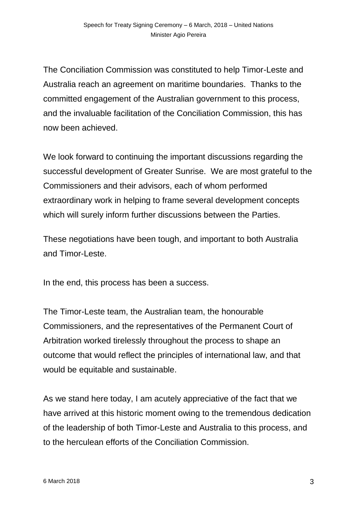The Conciliation Commission was constituted to help Timor-Leste and Australia reach an agreement on maritime boundaries. Thanks to the committed engagement of the Australian government to this process, and the invaluable facilitation of the Conciliation Commission, this has now been achieved.

We look forward to continuing the important discussions regarding the successful development of Greater Sunrise. We are most grateful to the Commissioners and their advisors, each of whom performed extraordinary work in helping to frame several development concepts which will surely inform further discussions between the Parties.

These negotiations have been tough, and important to both Australia and Timor-Leste.

In the end, this process has been a success.

The Timor-Leste team, the Australian team, the honourable Commissioners, and the representatives of the Permanent Court of Arbitration worked tirelessly throughout the process to shape an outcome that would reflect the principles of international law, and that would be equitable and sustainable.

As we stand here today, I am acutely appreciative of the fact that we have arrived at this historic moment owing to the tremendous dedication of the leadership of both Timor-Leste and Australia to this process, and to the herculean efforts of the Conciliation Commission.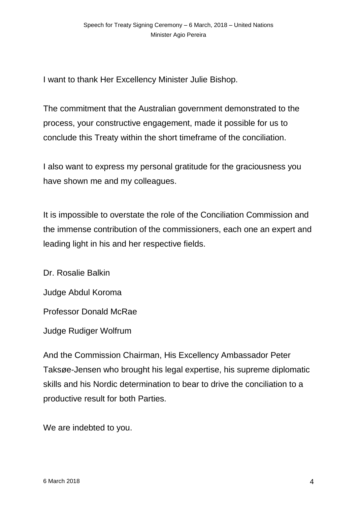I want to thank Her Excellency Minister Julie Bishop.

The commitment that the Australian government demonstrated to the process, your constructive engagement, made it possible for us to conclude this Treaty within the short timeframe of the conciliation.

I also want to express my personal gratitude for the graciousness you have shown me and my colleagues.

It is impossible to overstate the role of the Conciliation Commission and the immense contribution of the commissioners, each one an expert and leading light in his and her respective fields.

Dr. Rosalie Balkin Judge Abdul Koroma Professor Donald McRae Judge Rudiger Wolfrum

And the Commission Chairman, His Excellency Ambassador Peter Taksøe-Jensen who brought his legal expertise, his supreme diplomatic skills and his Nordic determination to bear to drive the conciliation to a productive result for both Parties.

We are indebted to you.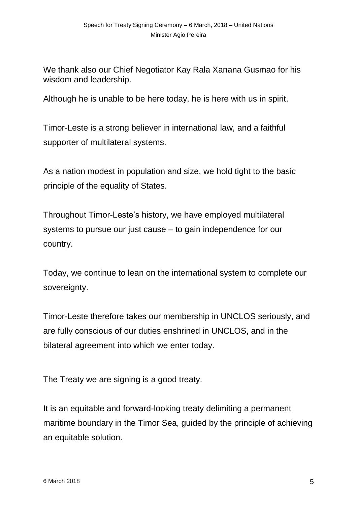We thank also our Chief Negotiator Kay Rala Xanana Gusmao for his wisdom and leadership.

Although he is unable to be here today, he is here with us in spirit.

Timor-Leste is a strong believer in international law, and a faithful supporter of multilateral systems.

As a nation modest in population and size, we hold tight to the basic principle of the equality of States.

Throughout Timor-Leste's history, we have employed multilateral systems to pursue our just cause – to gain independence for our country.

Today, we continue to lean on the international system to complete our sovereignty.

Timor-Leste therefore takes our membership in UNCLOS seriously, and are fully conscious of our duties enshrined in UNCLOS, and in the bilateral agreement into which we enter today.

The Treaty we are signing is a good treaty.

It is an equitable and forward-looking treaty delimiting a permanent maritime boundary in the Timor Sea, guided by the principle of achieving an equitable solution.